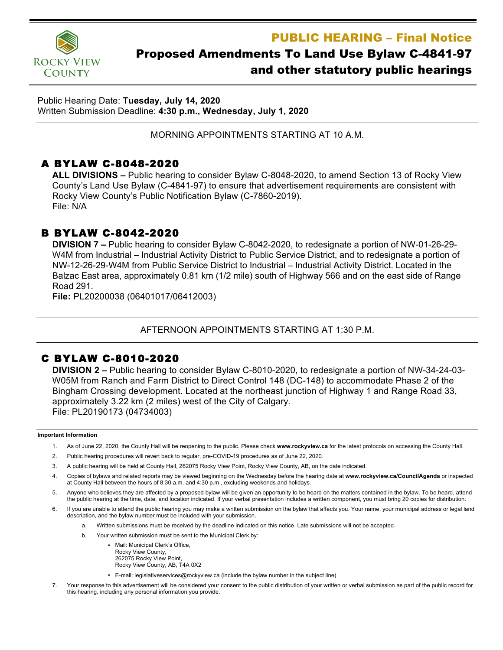PUBLIC HEARING – Final Notice



# Proposed Amendments To Land Use Bylaw C-4841-97 and other statutory public hearings

Public Hearing Date: **Tuesday, July 14, 2020** Written Submission Deadline: **4:30 p.m., Wednesday, July 1, 2020**

MORNING APPOINTMENTS STARTING AT 10 A.M.

# A BYLAW C-8048-2020

**ALL DIVISIONS –** Public hearing to consider Bylaw C-8048-2020, to amend Section 13 of Rocky View County's Land Use Bylaw (C-4841-97) to ensure that advertisement requirements are consistent with Rocky View County's Public Notification Bylaw (C-7860-2019). File: N/A

### B BYLAW C-8042-2020

**DIVISION 7 –** Public hearing to consider Bylaw C-8042-2020, to redesignate a portion of NW-01-26-29- W4M from Industrial – Industrial Activity District to Public Service District, and to redesignate a portion of NW-12-26-29-W4M from Public Service District to Industrial – Industrial Activity District. Located in the Balzac East area, approximately 0.81 km (1/2 mile) south of Highway 566 and on the east side of Range Road 291.

**File:** PL20200038 (06401017/06412003)

#### AFTERNOON APPOINTMENTS STARTING AT 1:30 P.M.

## C BYLAW C-8010-2020

**DIVISION 2 –** Public hearing to consider Bylaw C-8010-2020, to redesignate a portion of NW-34-24-03- W05M from Ranch and Farm District to Direct Control 148 (DC-148) to accommodate Phase 2 of the Bingham Crossing development. Located at the northeast junction of Highway 1 and Range Road 33, approximately 3.22 km (2 miles) west of the City of Calgary. File: PL20190173 (04734003)

#### **Important Information**

- 1. As of June 22, 2020, the County Hall will be reopening to the public. Please check **www.rockyview.ca** for the latest protocols on accessing the County Hall.
- 2. Public hearing procedures will revert back to regular, pre-COVID-19 procedures as of June 22, 2020.
- 3. A public hearing will be held at County Hall, 262075 Rocky View Point, Rocky View County, AB, on the date indicated.
- 4. Copies of bylaws and related reports may be viewed beginning on the Wednesday before the hearing date at **www.rockyview.ca/CouncilAgenda** or inspected at County Hall between the hours of 8:30 a.m. and 4:30 p.m., excluding weekends and holidays.
- 5. Anyone who believes they are affected by a proposed bylaw will be given an opportunity to be heard on the matters contained in the bylaw. To be heard, attend the public hearing at the time, date, and location indicated. If your verbal presentation includes a written component, you must bring 20 copies for distribution.
- 6. If you are unable to attend the public hearing you may make a written submission on the bylaw that affects you. Your name, your municipal address or legal land description, and the bylaw number must be included with your submission.
	- a. Written submissions must be received by the deadline indicated on this notice. Late submissions will not be accepted.
	- b. Your written submission must be sent to the Municipal Clerk by:
		- Mail: Municipal Clerk's Office, Rocky View County, 262075 Rocky View Point, Rocky View County, AB, T4A 0X2
		- E-mail: legislativeservices@rockyview.ca (include the bylaw number in the subject line)
- 7. Your response to this advertisement will be considered your consent to the public distribution of your written or verbal submission as part of the public record for this hearing, including any personal information you provide.